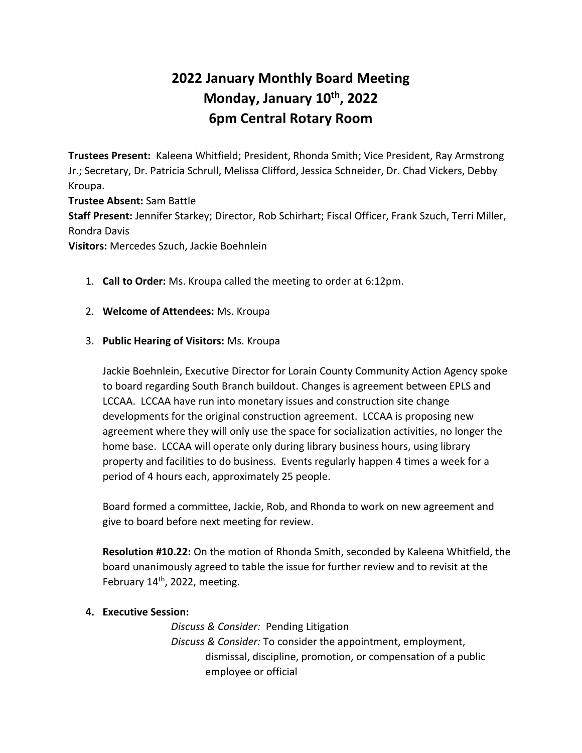# **2022 January Monthly Board Meeting Monday, January 10th, 2022 6pm Central Rotary Room**

**Trustees Present:** Kaleena Whitfield; President, Rhonda Smith; Vice President, Ray Armstrong Jr.; Secretary, Dr. Patricia Schrull, Melissa Clifford, Jessica Schneider, Dr. Chad Vickers, Debby Kroupa.

**Trustee Absent:** Sam Battle **Staff Present:** Jennifer Starkey; Director, Rob Schirhart; Fiscal Officer, Frank Szuch, Terri Miller, Rondra Davis

**Visitors:** Mercedes Szuch, Jackie Boehnlein

- 1. **Call to Order:** Ms. Kroupa called the meeting to order at 6:12pm.
- 2. **Welcome of Attendees:** Ms. Kroupa

### 3. **Public Hearing of Visitors:** Ms. Kroupa

Jackie Boehnlein, Executive Director for Lorain County Community Action Agency spoke to board regarding South Branch buildout. Changes is agreement between EPLS and LCCAA. LCCAA have run into monetary issues and construction site change developments for the original construction agreement. LCCAA is proposing new agreement where they will only use the space for socialization activities, no longer the home base. LCCAA will operate only during library business hours, using library property and facilities to do business. Events regularly happen 4 times a week for a period of 4 hours each, approximately 25 people.

Board formed a committee, Jackie, Rob, and Rhonda to work on new agreement and give to board before next meeting for review.

**Resolution #10.22:** On the motion of Rhonda Smith, seconded by Kaleena Whitfield, the board unanimously agreed to table the issue for further review and to revisit at the February 14<sup>th</sup>, 2022, meeting.

### **4. Executive Session:**

*Discuss & Consider:* Pending Litigation *Discuss & Consider:* To consider the appointment, employment, dismissal, discipline, promotion, or compensation of a public employee or official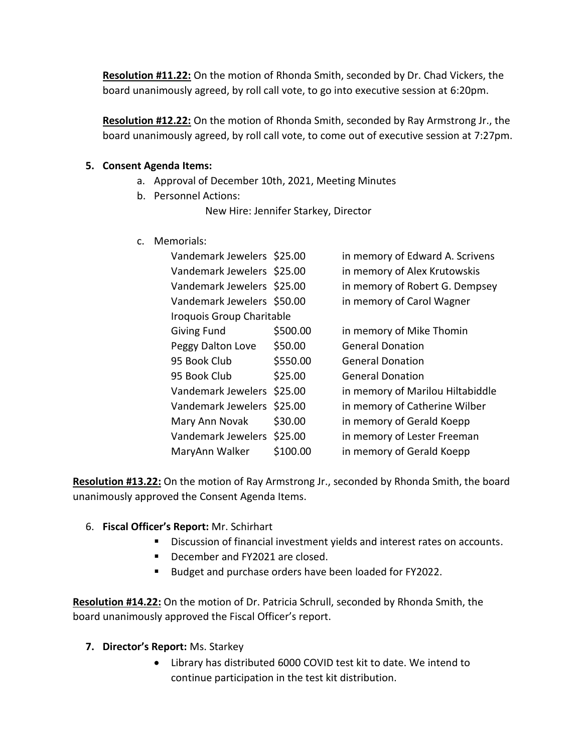**Resolution #11.22:** On the motion of Rhonda Smith, seconded by Dr. Chad Vickers, the board unanimously agreed, by roll call vote, to go into executive session at 6:20pm.

**Resolution #12.22:** On the motion of Rhonda Smith, seconded by Ray Armstrong Jr., the board unanimously agreed, by roll call vote, to come out of executive session at 7:27pm.

### **5. Consent Agenda Items:**

- a. Approval of December 10th, 2021, Meeting Minutes
- b. Personnel Actions:

New Hire: Jennifer Starkey, Director

c. Memorials:

| Vandemark Jewelers \$25.00 |          | in memory of Edward A. Scrivens  |
|----------------------------|----------|----------------------------------|
| Vandemark Jewelers \$25.00 |          | in memory of Alex Krutowskis     |
| Vandemark Jewelers \$25.00 |          | in memory of Robert G. Dempsey   |
| Vandemark Jewelers \$50.00 |          | in memory of Carol Wagner        |
| Iroquois Group Charitable  |          |                                  |
| <b>Giving Fund</b>         | \$500.00 | in memory of Mike Thomin         |
| Peggy Dalton Love          | \$50.00  | <b>General Donation</b>          |
| 95 Book Club               | \$550.00 | <b>General Donation</b>          |
| 95 Book Club               | \$25.00  | <b>General Donation</b>          |
| Vandemark Jewelers         | \$25.00  | in memory of Marilou Hiltabiddle |
| Vandemark Jewelers         | \$25.00  | in memory of Catherine Wilber    |
| Mary Ann Novak             | \$30.00  | in memory of Gerald Koepp        |
| Vandemark Jewelers \$25.00 |          | in memory of Lester Freeman      |
| MaryAnn Walker             | \$100.00 | in memory of Gerald Koepp        |

**Resolution #13.22:** On the motion of Ray Armstrong Jr., seconded by Rhonda Smith, the board unanimously approved the Consent Agenda Items.

- 6. **Fiscal Officer's Report:** Mr. Schirhart
	- Discussion of financial investment yields and interest rates on accounts.
	- December and FY2021 are closed.
	- Budget and purchase orders have been loaded for FY2022.

**Resolution #14.22:** On the motion of Dr. Patricia Schrull, seconded by Rhonda Smith, the board unanimously approved the Fiscal Officer's report.

- **7. Director's Report:** Ms. Starkey
	- Library has distributed 6000 COVID test kit to date. We intend to continue participation in the test kit distribution.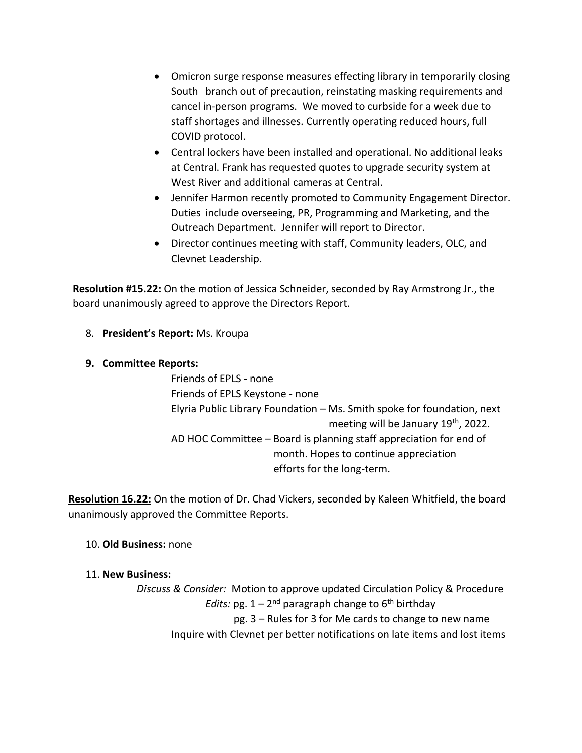- Omicron surge response measures effecting library in temporarily closing South branch out of precaution, reinstating masking requirements and cancel in-person programs. We moved to curbside for a week due to staff shortages and illnesses. Currently operating reduced hours, full COVID protocol.
- Central lockers have been installed and operational. No additional leaks at Central. Frank has requested quotes to upgrade security system at West River and additional cameras at Central.
- Jennifer Harmon recently promoted to Community Engagement Director. Duties include overseeing, PR, Programming and Marketing, and the Outreach Department. Jennifer will report to Director.
- Director continues meeting with staff, Community leaders, OLC, and Clevnet Leadership.

**Resolution #15.22:** On the motion of Jessica Schneider, seconded by Ray Armstrong Jr., the board unanimously agreed to approve the Directors Report.

- 8. **President's Report:** Ms. Kroupa
- **9. Committee Reports:**

Friends of EPLS - none Friends of EPLS Keystone - none Elyria Public Library Foundation – Ms. Smith spoke for foundation, next meeting will be January 19<sup>th</sup>, 2022. AD HOC Committee – Board is planning staff appreciation for end of month. Hopes to continue appreciation efforts for the long-term.

**Resolution 16.22:** On the motion of Dr. Chad Vickers, seconded by Kaleen Whitfield, the board unanimously approved the Committee Reports.

- 10. **Old Business:** none
- 11. **New Business:**

*Discuss & Consider:* Motion to approve updated Circulation Policy & Procedure Edits: pg. 1 – 2<sup>nd</sup> paragraph change to 6<sup>th</sup> birthday pg. 3 – Rules for 3 for Me cards to change to new name Inquire with Clevnet per better notifications on late items and lost items